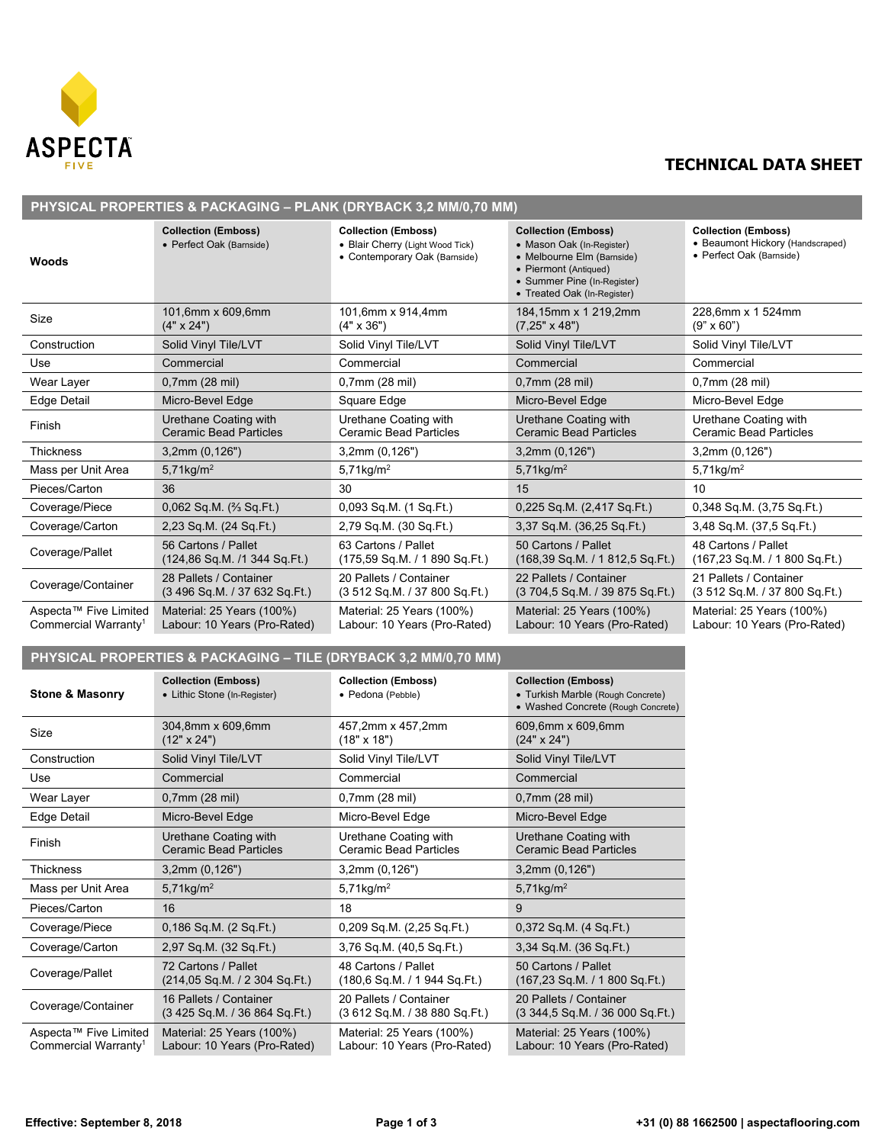

## **TECHNICAL DATA SHEET**

| PHYSICAL PROPERTIES & PACKAGING - PLANK (DRYBACK 3,2 MM/0,70 MM) |                                                                 |                                                                                                 |                                                                                                                                                                              |                                                                                            |  |  |  |
|------------------------------------------------------------------|-----------------------------------------------------------------|-------------------------------------------------------------------------------------------------|------------------------------------------------------------------------------------------------------------------------------------------------------------------------------|--------------------------------------------------------------------------------------------|--|--|--|
| Woods                                                            | <b>Collection (Emboss)</b><br>• Perfect Oak (Barnside)          | <b>Collection (Emboss)</b><br>• Blair Cherry (Light Wood Tick)<br>• Contemporary Oak (Barnside) | <b>Collection (Emboss)</b><br>• Mason Oak (In-Register)<br>• Melbourne Elm (Barnside)<br>• Piermont (Antiqued)<br>• Summer Pine (In-Register)<br>• Treated Oak (In-Register) | <b>Collection (Emboss)</b><br>• Beaumont Hickory (Handscraped)<br>• Perfect Oak (Barnside) |  |  |  |
| Size                                                             | 101,6mm x 609,6mm<br>$(4" \times 24")$                          | 101,6mm x 914,4mm<br>$(4" \times 36")$                                                          | 184,15mm x 1 219,2mm<br>$(7,25" \times 48")$                                                                                                                                 | 228,6mm x 1 524mm<br>$(9" \times 60")$                                                     |  |  |  |
| Construction                                                     | Solid Vinyl Tile/LVT                                            | Solid Vinyl Tile/LVT                                                                            | Solid Vinyl Tile/LVT                                                                                                                                                         | Solid Vinyl Tile/LVT                                                                       |  |  |  |
| Use                                                              | Commercial                                                      | Commercial                                                                                      | Commercial                                                                                                                                                                   | Commercial                                                                                 |  |  |  |
| Wear Layer                                                       | $0,7$ mm (28 mil)                                               | 0,7mm (28 mil)                                                                                  | 0,7mm (28 mil)                                                                                                                                                               | 0,7mm (28 mil)                                                                             |  |  |  |
| Edge Detail                                                      | Micro-Bevel Edge                                                | Square Edge                                                                                     | Micro-Bevel Edge                                                                                                                                                             | Micro-Bevel Edge                                                                           |  |  |  |
| Finish                                                           | Urethane Coating with<br><b>Ceramic Bead Particles</b>          | Urethane Coating with<br><b>Ceramic Bead Particles</b>                                          | Urethane Coating with<br><b>Ceramic Bead Particles</b>                                                                                                                       | Urethane Coating with<br><b>Ceramic Bead Particles</b>                                     |  |  |  |
| <b>Thickness</b>                                                 | 3,2mm(0,126")                                                   | 3,2mm (0,126")                                                                                  | 3,2mm (0,126")                                                                                                                                                               | 3,2mm(0,126")                                                                              |  |  |  |
| Mass per Unit Area                                               | 5,71kg/ $m^2$                                                   | 5,71kg/ $m^2$                                                                                   | 5,71kg/ $m^2$                                                                                                                                                                | 5,71kg/ $m2$                                                                               |  |  |  |
| Pieces/Carton                                                    | 36                                                              | 30                                                                                              | 15                                                                                                                                                                           | 10                                                                                         |  |  |  |
| Coverage/Piece                                                   | $0,062$ Sq.M. $($ % Sq.Ft.)                                     | 0,093 Sq.M. (1 Sq.Ft.)                                                                          | 0,225 Sq.M. (2,417 Sq.Ft.)                                                                                                                                                   | 0,348 Sq.M. (3,75 Sq.Ft.)                                                                  |  |  |  |
| Coverage/Carton                                                  | 2,23 Sq.M. (24 Sq.Ft.)                                          | 2,79 Sq.M. (30 Sq.Ft.)                                                                          | 3,37 Sq.M. (36,25 Sq.Ft.)                                                                                                                                                    | 3,48 Sq.M. (37,5 Sq.Ft.)                                                                   |  |  |  |
| Coverage/Pallet                                                  | 56 Cartons / Pallet<br>(124,86 Sq.M. /1 344 Sq.Ft.)             | 63 Cartons / Pallet<br>(175,59 Sq.M. / 1890 Sq.Ft.)                                             | 50 Cartons / Pallet<br>(168,39 Sq.M. / 1812,5 Sq.Ft.)                                                                                                                        | 48 Cartons / Pallet<br>(167,23 Sq.M. / 1 800 Sq.Ft.)                                       |  |  |  |
| Coverage/Container                                               | 28 Pallets / Container<br>(3 496 Sq.M. / 37 632 Sq.Ft.)         | 20 Pallets / Container<br>(3 512 Sq.M. / 37 800 Sq.Ft.)                                         | 22 Pallets / Container<br>(3 704,5 Sq.M. / 39 875 Sq.Ft.)                                                                                                                    | 21 Pallets / Container<br>(3 512 Sq.M. / 37 800 Sq.Ft.)                                    |  |  |  |
| Aspecta™ Five Limited<br>Commercial Warranty <sup>1</sup>        | Material: 25 Years (100%)<br>Labour: 10 Years (Pro-Rated)       | Material: 25 Years (100%)<br>Labour: 10 Years (Pro-Rated)                                       | Material: 25 Years (100%)<br>Labour: 10 Years (Pro-Rated)                                                                                                                    | Material: 25 Years (100%)<br>Labour: 10 Years (Pro-Rated)                                  |  |  |  |
|                                                                  | PHYSICAL PROPERTIES & PACKAGING - TILE (DRYBACK 3,2 MM/0,70 MM) |                                                                                                 |                                                                                                                                                                              |                                                                                            |  |  |  |
| <b>Stone &amp; Masonry</b>                                       | <b>Collection (Emboss)</b><br>• Lithic Stone (In-Register)      | <b>Collection (Emboss)</b><br>• Pedona (Pebble)                                                 | <b>Collection (Emboss)</b><br>• Turkish Marble (Rough Concrete)<br>• Washed Concrete (Rough Concrete)                                                                        |                                                                                            |  |  |  |
| Size                                                             | 304,8mm x 609,6mm<br>$(12" \times 24")$                         | 457,2mm x 457,2mm<br>$(18" \times 18")$                                                         | 609,6mm x 609,6mm<br>$(24" \times 24")$                                                                                                                                      |                                                                                            |  |  |  |
| Construction                                                     | Solid Vinyl Tile/LVT                                            | Solid Vinyl Tile/LVT                                                                            | Solid Vinyl Tile/LVT                                                                                                                                                         |                                                                                            |  |  |  |
| Use                                                              | Commercial                                                      | Commercial                                                                                      | Commercial                                                                                                                                                                   |                                                                                            |  |  |  |
| Wear Layer                                                       | $0,7$ mm (28 mil)                                               | 0,7mm (28 mil)                                                                                  | 0,7mm (28 mil)                                                                                                                                                               |                                                                                            |  |  |  |
| Edge Detail                                                      | Micro-Bevel Edge                                                | Micro-Bevel Edge                                                                                | Micro-Bevel Edge                                                                                                                                                             |                                                                                            |  |  |  |
| Finish                                                           | Urethane Coating with<br><b>Ceramic Bead Particles</b>          | Urethane Coating with<br><b>Ceramic Bead Particles</b>                                          | Urethane Coating with<br><b>Ceramic Bead Particles</b>                                                                                                                       |                                                                                            |  |  |  |
| Thickness                                                        | 3,2mm(0,126")                                                   | 3,2mm (0,126")                                                                                  | 3,2mm (0,126")                                                                                                                                                               |                                                                                            |  |  |  |
| Mass per Unit Area                                               | 5,71kg/ $m^2$                                                   | $5,71$ kg/m <sup>2</sup>                                                                        | $5,71$ kg/m <sup>2</sup>                                                                                                                                                     |                                                                                            |  |  |  |
| Pieces/Carton                                                    | 16                                                              | 18                                                                                              | 9                                                                                                                                                                            |                                                                                            |  |  |  |
| Coverage/Piece                                                   | 0,186 Sq.M. (2 Sq.Ft.)                                          | 0,209 Sq.M. (2,25 Sq.Ft.)                                                                       | 0,372 Sq.M. (4 Sq.Ft.)                                                                                                                                                       |                                                                                            |  |  |  |
| Coverage/Carton                                                  | 2,97 Sq.M. (32 Sq.Ft.)                                          | 3,76 Sq.M. (40,5 Sq.Ft.)                                                                        | 3,34 Sq.M. (36 Sq.Ft.)                                                                                                                                                       |                                                                                            |  |  |  |
| Coverage/Pallet                                                  | 72 Cartons / Pallet<br>(214,05 Sq.M. / 2 304 Sq.Ft.)            | 48 Cartons / Pallet<br>(180,6 Sq.M. / 1944 Sq.Ft.)                                              | 50 Cartons / Pallet<br>(167,23 Sq.M. / 1 800 Sq.Ft.)                                                                                                                         |                                                                                            |  |  |  |
| Coverage/Container                                               | 16 Pallets / Container<br>(3 425 Sq.M. / 36 864 Sq.Ft.)         | 20 Pallets / Container<br>(3 612 Sq.M. / 38 880 Sq.Ft.)                                         | 20 Pallets / Container<br>$(3\,344,5\,Sq.M. / 36\,000\,Sq.Ft.)$                                                                                                              |                                                                                            |  |  |  |
| Aspecta™ Five Limited<br>Commercial Warranty <sup>1</sup>        | Material: 25 Years (100%)<br>Labour: 10 Years (Pro-Rated)       | Material: 25 Years (100%)<br>Labour: 10 Years (Pro-Rated)                                       | Material: 25 Years (100%)<br>Labour: 10 Years (Pro-Rated)                                                                                                                    |                                                                                            |  |  |  |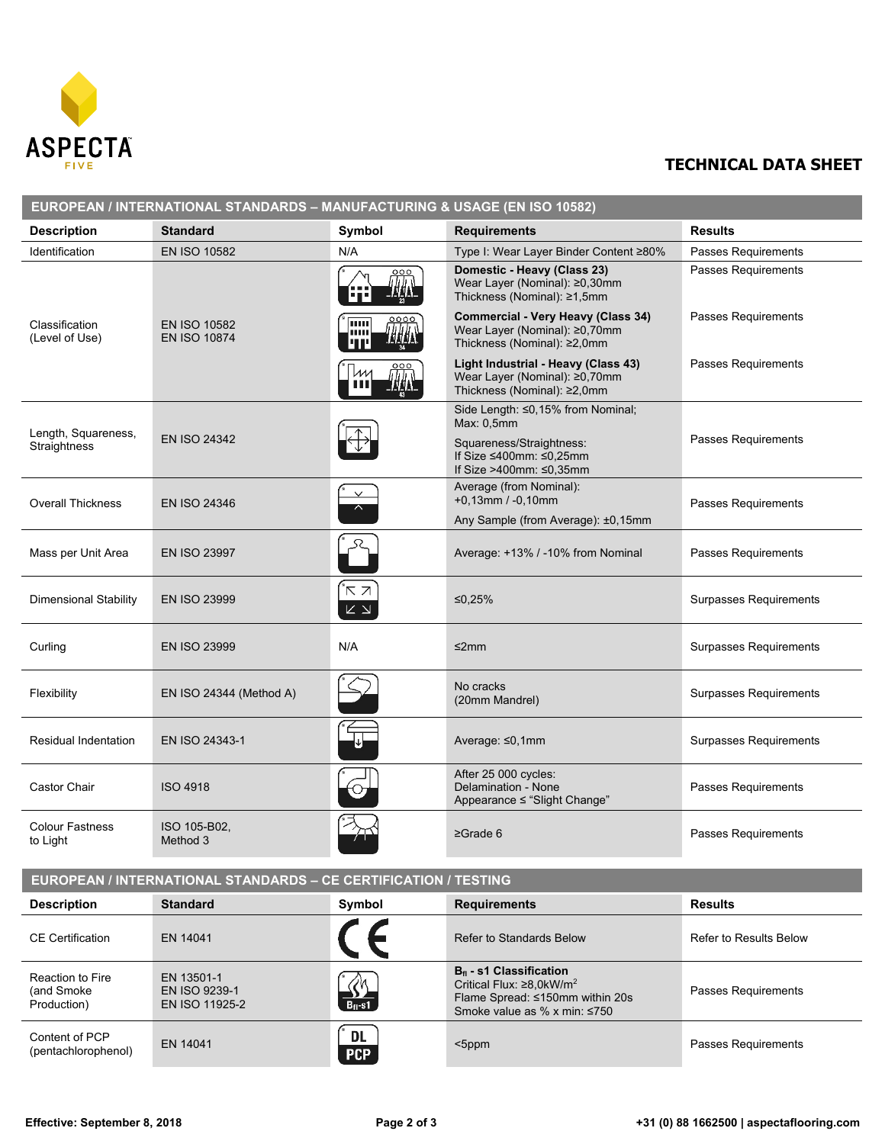

## **TECHNICAL DATA SHEET**

| EUROPEAN / INTERNATIONAL STANDARDS - MANUFACTURING & USAGE (EN ISO 10582) |                                               |                                                        |                                                                                                                                      |                               |  |
|---------------------------------------------------------------------------|-----------------------------------------------|--------------------------------------------------------|--------------------------------------------------------------------------------------------------------------------------------------|-------------------------------|--|
| <b>Description</b>                                                        | <b>Standard</b>                               | Symbol                                                 | <b>Requirements</b>                                                                                                                  | <b>Results</b>                |  |
| Identification                                                            | <b>EN ISO 10582</b>                           | N/A                                                    | Type I: Wear Layer Binder Content ≥80%                                                                                               | Passes Requirements           |  |
|                                                                           |                                               | <u>000</u><br>IN A<br>l Tim                            | Domestic - Heavy (Class 23)<br>Wear Layer (Nominal): ≥0,30mm<br>Thickness (Nominal): ≥1,5mm                                          | Passes Requirements           |  |
| Classification<br>(Level of Use)                                          | <b>EN ISO 10582</b><br><b>EN ISO 10874</b>    | <u>0000</u><br>luu<br><b>THAN</b><br>шш<br><u>l'IT</u> | <b>Commercial - Very Heavy (Class 34)</b><br>Wear Layer (Nominal): ≥0,70mm<br>Thickness (Nominal): ≥2,0mm                            | Passes Requirements           |  |
|                                                                           |                                               | ИM<br><b>THA</b>                                       | Light Industrial - Heavy (Class 43)<br>Wear Layer (Nominal): ≥0,70mm<br>Thickness (Nominal): ≥2,0mm                                  | Passes Requirements           |  |
| Length, Squareness,<br>Straightness                                       | <b>EN ISO 24342</b>                           |                                                        | Side Length: ≤0,15% from Nominal;<br>Max: 0, 5mm                                                                                     | Passes Requirements           |  |
|                                                                           |                                               |                                                        | Squareness/Straightness:<br>If Size ≤400mm: ≤0,25mm<br>If Size >400mm: ≤0,35mm                                                       |                               |  |
| <b>Overall Thickness</b>                                                  | <b>EN ISO 24346</b>                           |                                                        | Average (from Nominal):<br>$+0,13$ mm / -0,10mm                                                                                      | Passes Requirements           |  |
|                                                                           |                                               |                                                        | Any Sample (from Average): ±0,15mm                                                                                                   |                               |  |
| Mass per Unit Area                                                        | <b>EN ISO 23997</b>                           |                                                        | Average: +13% / -10% from Nominal                                                                                                    | Passes Requirements           |  |
| <b>Dimensional Stability</b>                                              | <b>EN ISO 23999</b>                           | ΚZ<br>$\mathbb K$ $\Delta$                             | ≤0,25%                                                                                                                               | Surpasses Requirements        |  |
| Curling                                                                   | <b>EN ISO 23999</b>                           | N/A                                                    | $\leq$ 2mm                                                                                                                           | <b>Surpasses Requirements</b> |  |
| Flexibility                                                               | EN ISO 24344 (Method A)                       |                                                        | No cracks<br>(20mm Mandrel)                                                                                                          | Surpasses Requirements        |  |
| <b>Residual Indentation</b>                                               | EN ISO 24343-1                                |                                                        | Average: ≤0,1mm                                                                                                                      | Surpasses Requirements        |  |
| Castor Chair                                                              | <b>ISO 4918</b>                               |                                                        | After 25 000 cycles:<br>Delamination - None<br>Appearance ≤ "Slight Change"                                                          | <b>Passes Requirements</b>    |  |
| <b>Colour Fastness</b><br>to Light                                        | ISO 105-B02,<br>Method 3                      |                                                        | $\geq$ Grade 6                                                                                                                       | Passes Requirements           |  |
| <b>EUROPEAN / INTERNATIONAL STANDARDS - CE CERTIFICATION / TESTING</b>    |                                               |                                                        |                                                                                                                                      |                               |  |
| <b>Description</b>                                                        | <b>Standard</b>                               | Symbol                                                 | <b>Requirements</b>                                                                                                                  | <b>Results</b>                |  |
|                                                                           |                                               |                                                        |                                                                                                                                      |                               |  |
| <b>CE Certification</b>                                                   | EN 14041                                      |                                                        | Refer to Standards Below                                                                                                             | <b>Refer to Results Below</b> |  |
| Reaction to Fire<br>(and Smoke<br>Production)                             | EN 13501-1<br>EN ISO 9239-1<br>EN ISO 11925-2 |                                                        | $Bfl$ - s1 Classification<br>Critical Flux: ≥8,0kW/m <sup>2</sup><br>Flame Spread: ≤150mm within 20s<br>Smoke value as % x min: ≤750 | Passes Requirements           |  |
| Content of PCP<br>(pentachlorophenol)                                     | EN 14041                                      | <b>DL</b><br><b>PCP</b>                                | $<$ 5ppm                                                                                                                             | Passes Requirements           |  |